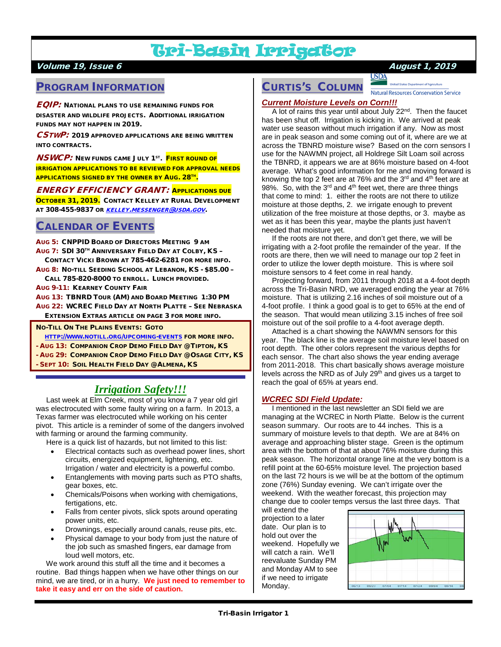# Tri-Basin Irrigator

### Volume 19, Issue 6 August 1, 2019

## PROGRAM INFORMATION

 $\pmb{\mathit{EQIP:}}$  National plans to use remaining funds for DISASTER AND WILDLIFE PROJECTS. ADDITIONAL IRRIGATION FUNDS MAY NOT HAPPEN IN 2019.

CSTWP: 2019 APPROVED APPLICATIONS ARE BEING WRITTEN INTO CONTRACTS.

**NSWCP:** NEW FUNDS CAME JULY 1<sup>ST</sup>. FIRST ROUND OF IRRIGATION APPLICATIONS TO BE REVIEWED FOR APPROVAL NEEDS **APPLICATIONS SIGNED BY THE OWNER BY AUG. 28TH.** 

#### ENERGY EFFICIENCY GRANT: APPLICATIONS DUE

OCTOBER 31, 2019. CONTACT KELLEY AT RURAL DEVELOPMENT AT 308-455-9837 OR [KELLEY.MESSENGER@USDA.GOV](mailto:kelley.messenger@usda.gov).

## CALENDAR OF EVENTS

- AUG 5: CNPPID BOARD OF DIRECTORS MEETING 9 AM
- AUG 7: SDI 30TH ANNIVERSARY FIELD DAY AT COLBY, KS –
- CONTACT VICKI BROWN AT 785-462-6281 FOR MORE INFO.
- AUG 8: NO-TILL SEEDING SCHOOL AT LEBANON, KS \$85.00 CALL 785-820-8000 TO ENROLL. LUNCH PROVIDED.
- AUG 9-11: KEARNEY COUNTY FAIR
- AUG 13: TBNRD TOUR (AM) AND BOARD MEETING 1:30 PM AUG 22: WCREC FIELD DAY AT NORTH PLATTE – SEE NEBRASKA EXTENSION EXTRAS ARTICLE ON PAGE 3 FOR MORE INFO.
- NO-TILL ON THE PLAINS EVENTS: GOTO
- [HTTP://WWW.NOTILL.ORG/UPCOMING-EVENTS](http://www.notill.org/upcoming-events) FOR MORE INFO.
- AUG 13: COMPANION CROP DEMO FIELD DAY @ TIPTON, KS
- AUG 29: COMPANION CROP DEMO FIELD DAY @ OSAGE CITY, KS
- SEPT 10: SOIL HEALTH FIELD DAY @ ALMENA, KS

# *Irrigation Safety!!!*

 Last week at Elm Creek, most of you know a 7 year old girl was electrocuted with some faulty wiring on a farm. In 2013, a Texas farmer was electrocuted while working on his center pivot. This article is a reminder of some of the dangers involved with farming or around the farming community.

Here is a quick list of hazards, but not limited to this list:

- Electrical contacts such as overhead power lines, short circuits, energized equipment, lightening, etc. Irrigation / water and electricity is a powerful combo.
- Entanglements with moving parts such as PTO shafts, gear boxes, etc.
- Chemicals/Poisons when working with chemigations, fertigations, etc.
- Falls from center pivots, slick spots around operating power units, etc.
- Drownings, especially around canals, reuse pits, etc.
- Physical damage to your body from just the nature of the job such as smashed fingers, ear damage from loud well motors, etc.

 We work around this stuff all the time and it becomes a routine. Bad things happen when we have other things on our mind, we are tired, or in a hurry. **We just need to remember to take it easy and err on the side of caution.**

#### **USDA** CURTIS'S COLUMN

Natural Resources Conservation Service

#### *Current Moisture Levels on Corn!!!*

A lot of rains this year until about July 22<sup>nd</sup>. Then the faucet has been shut off. Irrigation is kicking in. We arrived at peak water use season without much irrigation if any. Now as most are in peak season and some coming out of it, where are we at across the TBNRD moisture wise? Based on the corn sensors I use for the NAWMN project, all Holdrege Silt Loam soil across the TBNRD, it appears we are at 86% moisture based on 4-foot average. What's good information for me and moving forward is knowing the top 2 feet are at 76% and the  $3<sup>rd</sup>$  and  $4<sup>th</sup>$  feet are at 98%. So, with the 3<sup>rd</sup> and 4<sup>th</sup> feet wet, there are three things that come to mind: 1. either the roots are not there to utilize moisture at those depths, 2. we irrigate enough to prevent utilization of the free moisture at those depths, or 3. maybe as wet as it has been this year, maybe the plants just haven't needed that moisture yet.

 If the roots are not there, and don't get there, we will be irrigating with a 2-foot profile the remainder of the year. If the roots are there, then we will need to manage our top 2 feet in order to utilize the lower depth moisture. This is where soil moisture sensors to 4 feet come in real handy.

 Projecting forward, from 2011 through 2018 at a 4-foot depth across the Tri-Basin NRD, we averaged ending the year at 76% moisture. That is utilizing 2.16 inches of soil moisture out of a 4-foot profile. I think a good goal is to get to 65% at the end of the season. That would mean utilizing 3.15 inches of free soil moisture out of the soil profile to a 4-foot average depth.

 Attached is a chart showing the NAWMN sensors for this year. The black line is the average soil moisture level based on root depth. The other colors represent the various depths for each sensor. The chart also shows the year ending average from 2011-2018. This chart basically shows average moisture levels across the NRD as of July  $29<sup>th</sup>$  and gives us a target to reach the goal of 65% at years end.

#### *WCREC SDI Field Update:*

 I mentioned in the last newsletter an SDI field we are managing at the WCREC in North Platte. Below is the current season summary. Our roots are to 44 inches. This is a summary of moisture levels to that depth. We are at 84% on average and approaching blister stage. Green is the optimum area with the bottom of that at about 76% moisture during this peak season. The horizontal orange line at the very bottom is a refill point at the 60-65% moisture level. The projection based on the last 72 hours is we will be at the bottom of the optimum zone (76%) Sunday evening. We can't irrigate over the weekend. With the weather forecast, this projection may change due to cooler temps versus the last three days. That

will extend the projection to a later date. Our plan is to hold out over the weekend. Hopefully we will catch a rain. We'll reevaluate Sunday PM and Monday AM to see if we need to irrigate Monday.

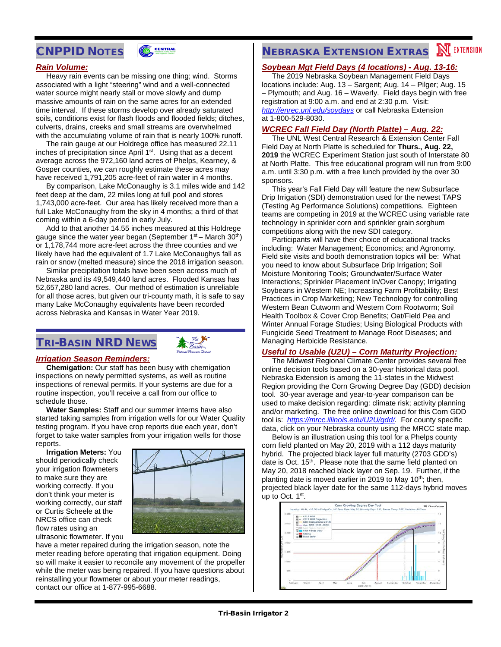## CNPPID NOTES



#### *Rain Volume:*

 Heavy rain events can be missing one thing; wind. Storms associated with a light "steering" wind and a well-connected water source might nearly stall or move slowly and dump massive amounts of rain on the same acres for an extended time interval. If these storms develop over already saturated soils, conditions exist for flash floods and flooded fields; ditches, culverts, drains, creeks and small streams are overwhelmed with the accumulating volume of rain that is nearly 100% runoff.

 The rain gauge at our Holdrege office has measured 22.11 inches of precipitation since April  $1<sup>st</sup>$ . Using that as a decent average across the 972,160 land acres of Phelps, Kearney, & Gosper counties, we can roughly estimate these acres may have received 1,791,205 acre-feet of rain water in 4 months.

 By comparison, Lake McConaughy is 3.1 miles wide and 142 feet deep at the dam, 22 miles long at full pool and stores 1,743,000 acre-feet. Our area has likely received more than a full Lake McConaughy from the sky in 4 months; a third of that coming within a 6-day period in early July.

 Add to that another 14.55 inches measured at this Holdrege gauge since the water year began (September  $1<sup>st</sup>$  – March 30<sup>th</sup>) or 1,178,744 more acre-feet across the three counties and we likely have had the equivalent of 1.7 Lake McConaughys fall as rain or snow (melted measure) since the 2018 irrigation season.

 Similar precipitation totals have been seen across much of Nebraska and its 49,549,440 land acres. Flooded Kansas has 52,657,280 land acres. Our method of estimation is unreliable for all those acres, but given our tri-county math, it is safe to say many Lake McConaughy equivalents have been recorded across Nebraska and Kansas in Water Year 2019.

# TRI-BASIN NRD NEWS



#### *Irrigation Season Reminders:*

 **Chemigation:** Our staff has been busy with chemigation inspections on newly permitted systems, as well as routine inspections of renewal permits. If your systems are due for a routine inspection, you'll receive a call from our office to schedule those.

 **Water Samples:** Staff and our summer interns have also started taking samples from irrigation wells for our Water Quality testing program. If you have crop reports due each year, don't forget to take water samples from your irrigation wells for those reports.

 **Irrigation Meters:** You should periodically check your irrigation flowmeters to make sure they are working correctly. If you don't think your meter is working correctly, our staff or Curtis Scheele at the NRCS office can check flow rates using an ultrasonic flowmeter. If you



have a meter repaired during the irrigation season, note the meter reading before operating that irrigation equipment. Doing so will make it easier to reconcile any movement of the propeller while the meter was being repaired. If you have questions about reinstalling your flowmeter or about your meter readings, contact our office at 1-877-995-6688.

# **NEBRASKA EXTENSION EXTRAS MEXTENSION**

#### *Soybean Mgt Field Days (4 locations) - Aug. 13-16:*

 The 2019 Nebraska Soybean Management Field Days locations include: Aug. 13 – Sargent; Aug. 14 – Pilger; Aug. 15 – Plymouth; and Aug. 16 – Waverly. Field days begin with free registration at 9:00 a.m. and end at 2:30 p.m. Visit: *<http://enrec.unl.edu/soydays>* or call Nebraska Extension at 1-800-529-8030.

#### *WCREC Fall Field Day (North Platte) – Aug. 22:*

 The UNL West Central Research & Extension Center Fall Field Day at North Platte is scheduled for **Thurs., Aug. 22, 2019** the WCREC Experiment Station just south of Interstate 80 at North Platte. This free educational program will run from 9:00 a.m. until 3:30 p.m. with a free lunch provided by the over 30 sponsors.

 This year's Fall Field Day will feature the new Subsurface Drip Irrigation (SDI) demonstration used for the newest TAPS (Testing Ag Performance Solutions) competitions. Eighteen teams are competing in 2019 at the WCREC using variable rate technology in sprinkler corn and sprinkler grain sorghum competitions along with the new SDI category.

 Participants will have their choice of educational tracks including: Water Management; Economics; and Agronomy. Field site visits and booth demonstration topics will be: What you need to know about Subsurface Drip Irrigation; Soil Moisture Monitoring Tools; Groundwater/Surface Water Interactions; Sprinkler Placement In/Over Canopy; Irrigating Soybeans in Western NE; Increasing Farm Profitability; Best Practices in Crop Marketing; New Technology for controlling Western Bean Cutworm and Western Corn Rootworm; Soil Health Toolbox & Cover Crop Benefits; Oat/Field Pea and Winter Annual Forage Studies; Using Biological Products with Fungicide Seed Treatment to Manage Root Diseases; and Managing Herbicide Resistance.

#### *Useful to Usable (U2U) – Corn Maturity Projection:*

 The Midwest Regional Climate Center provides several free online decision tools based on a 30-year historical data pool. Nebraska Extension is among the 11-states in the Midwest Region providing the Corn Growing Degree Day (GDD) decision tool. 30-year average and year-to-year comparison can be used to make decision regarding: climate risk; activity planning and/or marketing. The free online download for this Corn GDD tool is: *[https://mrcc.illinois.edu/U2U/gdd/.](https://mrcc.illinois.edu/U2U/gdd/)* For county specific data, click on your Nebraska county using the MRCC state map.

 Below is an illustration using this tool for a Phelps county corn field planted on May 20, 2019 with a 112 days maturity hybrid. The projected black layer full maturity (2703 GDD's) date is Oct. 15<sup>th</sup>. Please note that the same field planted on May 20, 2018 reached black layer on Sep. 19. Further, if the planting date is moved earlier in 2019 to May  $10<sup>th</sup>$ ; then, projected black layer date for the same 112-days hybrid moves up to Oct. 1<sup>st</sup>.

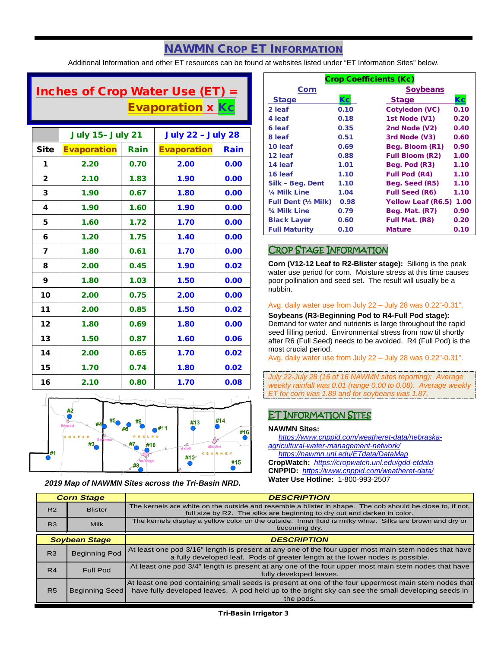# NAWMN CROP ET INFORMATION

Additional Information and other ET resources can be found at websites listed under "ET Information Sites" below.

# Inches of Crop Water Use (ET)  $=$ **Evaporation x Kc**

|              | <b>July 15- July 21</b> |      | <b>July 22 - July 28</b> |      |
|--------------|-------------------------|------|--------------------------|------|
| <b>Site</b>  | <b>Evaporation</b>      | Rain | <b>Evaporation</b>       | Rain |
| 1            | 2.20                    | 0.70 | 2.00                     | 0.00 |
| $\mathbf{2}$ | 2.10                    | 1.83 | 1.90                     | 0.00 |
| 3            | 1.90                    | 0.67 | 1.80                     | 0.00 |
| 4            | 1.90                    | 1.60 | 1.90                     | 0.00 |
| 5            | 1.60                    | 1.72 | 1.70                     | 0.00 |
| 6            | 1.20                    | 1.75 | 1.40                     | 0.00 |
| 7            | 1.80                    | 0.61 | 1.70                     | 0.00 |
| 8            | 2.00                    | 0.45 | 1.90                     | 0.02 |
| 9            | 1.80                    | 1.03 | 1.50                     | 0.00 |
| 10           | 2.00                    | 0.75 | 2.00                     | 0.00 |
| 11           | 2.00                    | 0.85 | 1.50                     | 0.02 |
| 12           | 1.80                    | 0.69 | 1.80                     | 0.00 |
| 13           | 1.50                    | 0.87 | 1.60                     | 0.06 |
| 14           | 2.00                    | 0.65 | 1.70                     | 0.02 |
| 15           | 1.70                    | 0.74 | 1.80                     | 0.02 |
| 16           | 2.10                    | 0.80 | 1.70                     | 0.08 |



*2019 Map of NAWMN Sites across the Tri-Basin NRD.*

| <b>Crop Coefficients (Kc)</b> |      |                           |      |
|-------------------------------|------|---------------------------|------|
| Corn                          |      | <b>Soybeans</b>           |      |
| <b>Stage</b>                  | Кc   | <b>Stage</b>              | Кc   |
| 2 leaf                        | 0.10 | Cotyledon (VC)            | 0.10 |
| 4 leaf                        | 0.18 | 1st Node (V1)             | 0.20 |
| 6 leaf                        | 0.35 | 2nd Node (V2)             | 0.40 |
| 8 leaf                        | 0.51 | 3rd Node (V3)             | 0.60 |
| 10 leaf                       | 0.69 | Beg. Bloom (R1)           | 0.90 |
| 12 leaf                       | 0.88 | <b>Full Bloom (R2)</b>    | 1.00 |
| 14 leaf                       | 1.01 | Beg. Pod (R3)             | 1.10 |
| 16 leaf                       | 1.10 | <b>Full Pod (R4)</b>      | 1.10 |
| Silk - Beg. Dent              | 1.10 | Beg. Seed (R5)            | 1.10 |
| 1/4 Milk Line                 | 1.04 | <b>Full Seed (R6)</b>     | 1.10 |
| <b>Full Dent (½ Milk)</b>     | 0.98 | <b>Yellow Leaf (R6.5)</b> | 1.00 |
| 3/4 Milk Line                 | 0.79 | Beg. Mat. (R7)            | 0.90 |
| <b>Black Layer</b>            | 0.60 | Full Mat. (R8)            | 0.20 |
| <b>Full Maturity</b>          | 0.10 | <b>Mature</b>             | 0.10 |

### CROP STAGE INFORMATION

**Corn (V12-12 Leaf to R2-Blister stage):** Silking is the peak water use period for corn. Moisture stress at this time causes poor pollination and seed set. The result will usually be a nubbin.

#### Avg. daily water use from July 22 – July 28 was 0.22"-0.31".

**Soybeans (R3-Beginning Pod to R4-Full Pod stage):** Demand for water and nutrients is large throughout the rapid seed filling period. Environmental stress from now til shortly after R6 (Full Seed) needs to be avoided. R4 (Full Pod) is the most crucial period.

Avg. daily water use from July 22 – July 28 was 0.22"-0.31".

*July 22-July 28 (16 of 16 NAWMN sites reporting): Average weekly rainfall was 0.01 (range 0.00 to 0.08). Average weekly ET for corn was 1.89 and for soybeans was 1.87.*

## ET INFORMATION SITES

#### **NAWMN Sites:**

 *[https://www.cnppid.com/weatheret-data/nebraska](https://www.cnppid.com/weatheret-data/nebraska-agricultural-water-management-network/)[agricultural-water-management-network/](https://www.cnppid.com/weatheret-data/nebraska-agricultural-water-management-network/)*

 *<https://nawmn.unl.edu/ETdata/DataMap>* **CropWatch:** *<https://cropwatch.unl.edu/gdd-etdata>* **CNPPID:** *<https://www.cnppid.com/weatheret-data/>* **Water Use Hotline:** 1-800-993-2507

| <b>Corn Stage</b>    |                       | <b>DESCRIPTION</b>                                                                                                                                                                                                      |  |  |
|----------------------|-----------------------|-------------------------------------------------------------------------------------------------------------------------------------------------------------------------------------------------------------------------|--|--|
| R <sub>2</sub>       | <b>Blister</b>        | The kernels are white on the outside and resemble a blister in shape. The cob should be close to, if not,<br>full size by R2. The silks are beginning to dry out and darken in color.                                   |  |  |
| R <sub>3</sub>       | <b>Milk</b>           | The kernels display a yellow color on the outside. Inner fluid is milky white. Silks are brown and dry or<br>becoming dry.                                                                                              |  |  |
| <b>Soybean Stage</b> |                       | <b>DESCRIPTION</b>                                                                                                                                                                                                      |  |  |
| R <sub>3</sub>       | <b>Beginning Pod</b>  | At least one pod 3/16" length is present at any one of the four upper most main stem nodes that have<br>a fully developed leaf. Pods of greater length at the lower nodes is possible.                                  |  |  |
| R4                   | Full Pod              | At least one pod 3/4" length is present at any one of the four upper most main stem nodes that have<br>fully developed leaves.                                                                                          |  |  |
| <b>R5</b>            | <b>Beginning Seed</b> | At least one pod containing small seeds is present at one of the four uppermost main stem nodes that<br>have fully developed leaves. A pod held up to the bright sky can see the small developing seeds in<br>the pods. |  |  |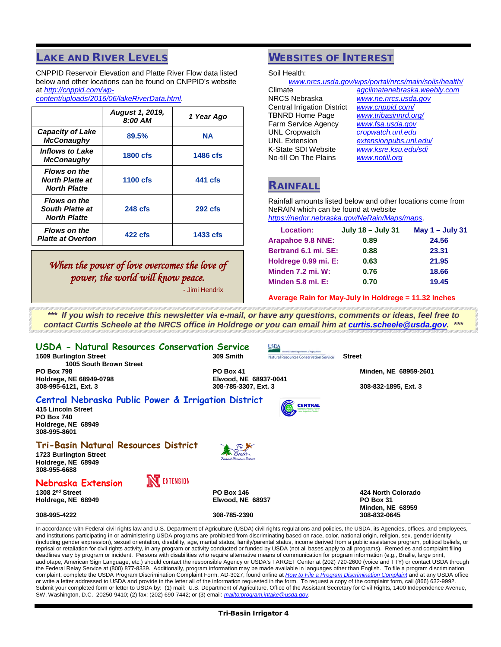## LAKE AND RIVER LEVELS

CNPPID Reservoir Elevation and Platte River Flow data listed below and other locations can be found on CNPPID's website at *[http://cnppid.com/wp-](http://cnppid.com/wp-content/uploads/2016/06/lakeRiverData.html)*

*[content/uploads/2016/06/lakeRiverData.html](http://cnppid.com/wp-content/uploads/2016/06/lakeRiverData.html)*.

|                                                                      | <b>August 1, 2019,</b><br>8:00 AM | 1 Year Ago |
|----------------------------------------------------------------------|-----------------------------------|------------|
| <b>Capacity of Lake</b><br><b>McConaughy</b>                         | 89.5%                             | <b>NA</b>  |
| <i><b>Inflows to Lake</b></i><br><b>McConaughy</b>                   | <b>1800 cfs</b>                   | 1486 cfs   |
| <b>Flows on the</b><br><b>North Platte at</b><br><b>North Platte</b> | <b>1100 cfs</b>                   | 441 cfs    |
| <b>Flows on the</b><br><b>South Platte at</b><br><b>North Platte</b> | <b>248 cfs</b>                    | $292$ cfs  |
| <b>Flows on the</b><br><b>Platte at Overton</b>                      | $422$ cfs                         | 1433 cfs   |

# *When the power of love overcomes the love of power, the world will know peace.*

- Jimi Hendrix

# WEBSITES OF INTEREST

Soil Health:

| www.nrcs.usda.gov/wps/portal/nrcs/main/soils/health/ |                              |  |  |
|------------------------------------------------------|------------------------------|--|--|
| Climate                                              | agclimatenebraska.weebly.com |  |  |
| <b>NRCS Nebraska</b>                                 | www.ne.nrcs.usda.gov         |  |  |
| <b>Central Irrigation District</b>                   | www.cnppid.com/              |  |  |
| <b>TBNRD Home Page</b>                               | www.tribasinnrd.org/         |  |  |
| Farm Service Agency                                  | www.fsa.usda.gov             |  |  |
| <b>UNL Cropwatch</b>                                 | cropwatch.unl.edu            |  |  |
| <b>UNL Extension</b>                                 | extensionpubs.unl.edu/       |  |  |
| K-State SDI Website                                  | www.ksre.ksu.edu/sdi         |  |  |
| No-till On The Plains                                | www.notill.org               |  |  |
|                                                      |                              |  |  |

## RAINFALL

Rainfall amounts listed below and other locations come from NeRAIN which can be found at website *<https://nednr.nebraska.gov/NeRain/Maps/maps>*.

| <b>Location:</b>         | <b>July 18 – July 31</b> | May $1 -$ July 31 |
|--------------------------|--------------------------|-------------------|
| <b>Arapahoe 9.8 NNE:</b> | 0.89                     | 24.56             |
| Bertrand 6.1 mi. SE:     | 0.88                     | 23.31             |
| Holdrege 0.99 mi. E:     | 0.63                     | 21.95             |
| <b>Minden 7.2 mi. W:</b> | 0.76                     | 18.66             |
| Minden $5.8$ mi. $E$ :   | 0.70                     | 19.45             |

**Average Rain for May-July in Holdrege = 11.32 Inches**

*\*\*\* If you wish to receive this newsletter via e-mail, or have any questions, comments or ideas, feel free to contact Curtis Scheele at the NRCS office in Holdrege or you can email him at [curtis.scheele@usda.gov.](mailto:curtis.scheele@usda.gov) \*\*\**

| USDA - Natural Resources Conservation Service<br><b>1609 Burlington Street</b>                                                       | <b>USDA</b><br><b>Inded States Department of Agriculture</b><br>309 Smith<br><b>Natural Resources Conservation Service</b> | <b>Street</b>                                                     |
|--------------------------------------------------------------------------------------------------------------------------------------|----------------------------------------------------------------------------------------------------------------------------|-------------------------------------------------------------------|
| 1005 South Brown Street<br><b>PO Box 798</b>                                                                                         | PO Box 41                                                                                                                  | Minden, NE 68959-2601                                             |
| Holdrege, NE 68949-0798<br>308-995-6121, Ext. 3                                                                                      | Elwood, NE 68937-0041<br>308-785-3307, Ext. 3                                                                              | 308-832-1895, Ext. 3                                              |
| Central Nebraska Public Power & Irrigation District<br>415 Lincoln Street<br><b>PO Box 740</b><br>Holdrege, NE 68949<br>308-995-8601 | <b>CENTRAL</b>                                                                                                             |                                                                   |
| <b>Tri-Basin Natural Resources District</b><br>1723 Burlington Street<br>Holdrege, NE 68949<br>308-955-6688                          | Natural Peccures District                                                                                                  |                                                                   |
| <b>INC</b> EXTENSION<br>Nebraska Extension                                                                                           |                                                                                                                            |                                                                   |
| 1308 $2nd$ Street<br>Holdrege, NE 68949                                                                                              | <b>PO Box 146</b><br>Elwood, NE 68937                                                                                      | 424 North Colorado<br><b>PO Box 31</b><br><b>Minden, NE 68959</b> |
| 308-995-4222                                                                                                                         | 308-785-2390                                                                                                               | 308-832-0645                                                      |

In accordance with Federal civil rights law and U.S. Department of Agriculture (USDA) civil rights regulations and policies, the USDA, its Agencies, offices, and employees, and institutions participating in or administering USDA programs are prohibited from discriminating based on race, color, national origin, religion, sex, gender identity (including gender expression), sexual orientation, disability, age, marital status, family/parental status, income derived from a public assistance program, political beliefs, or reprisal or retaliation for civil rights activity, in any program or activity conducted or funded by USDA (not all bases apply to all programs). Remedies and complaint filing deadlines vary by program or incident. Persons with disabilities who require alternative means of communication for program information (e.g., Braille, large print, audiotape, American Sign Language, etc.) should contact the responsible Agency or USDA's TARGET Center at (202) 720-2600 (voice and TTY) or contact USDA through the Federal Relay Service at (800) 877-8339. Additionally, program information may be made available in languages other than English. To file a program discrimination complaint, complete the USDA Program Discrimination Complaint Form, AD-3027, found online at *[How to File a Program Discrimination Complaint](https://www.ascr.usda.gov/filing-program-discrimination-complaint-usda-customer)* and at any USDA office or write a letter addressed to USDA and provide in the letter all of the information requested in the form. To request a copy of the complaint form, call (866) 632-9992. Submit your completed form or letter to USDA by: (1) mail: U.S. Department of Agriculture, Office of the Assistant Secretary for Civil Rights, 1400 Independence Avenue, SW, Washington, D.C. 20250-9410; (2) fax: (202) 690-7442; or (3) email: *mailto:program*.